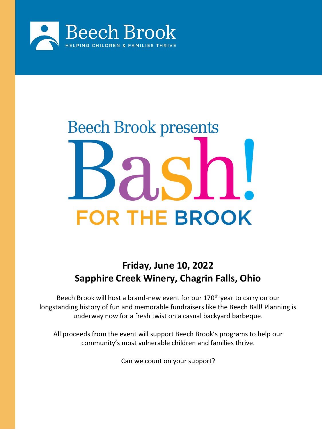

# **Beech Brook presents FOR THE BROOK**

# **Friday, June 10, 2022 Sapphire Creek Winery, Chagrin Falls, Ohio**

Beech Brook will host a brand-new event for our 170<sup>th</sup> year to carry on our longstanding history of fun and memorable fundraisers like the Beech Ball! Planning is underway now for a fresh twist on a casual backyard barbeque.

All proceeds from the event will support Beech Brook's programs to help our community's most vulnerable children and families thrive.

Can we count on your support?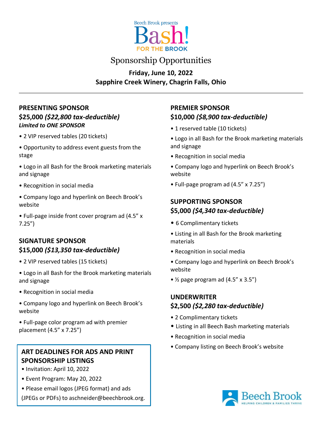

## Sponsorship Opportunities

### **Friday, June 10, 2022 Sapphire Creek Winery, Chagrin Falls, Ohio**

### **PRESENTING SPONSOR \$25,000** *(\$22,800 tax-deductible) Limited to ONE SPONSOR*

- 2 VIP reserved tables (20 tickets)
- Opportunity to address event guests from the stage
- Logo in all Bash for the Brook marketing materials and signage
- Recognition in social media
- Company logo and hyperlink on Beech Brook's website
- Full-page inside front cover program ad (4.5" x 7.25")

### **SIGNATURE SPONSOR \$15,000** *(\$13,350 tax-deductible)*

- 2 VIP reserved tables (15 tickets)
- Logo in all Bash for the Brook marketing materials and signage
- Recognition in social media
- Company logo and hyperlink on Beech Brook's website
- Full-page color program ad with premier placement (4.5" x 7.25")

### **ART DEADLINES FOR ADS AND PRINT SPONSORSHIP LISTINGS**

- Invitation: April 10, 2022
- Event Program: May 20, 2022
- Please email logos (JPEG format) and ads

(JPEGs or PDFs) to aschneider@beechbrook.org.

### **PREMIER SPONSOR \$10,000** *(\$8,900 tax-deductible)*

- 1 reserved table (10 tickets)
- Logo in all Bash for the Brook marketing materials and signage
- Recognition in social media
- Company logo and hyperlink on Beech Brook's website
- Full-page program ad (4.5" x 7.25")

### **SUPPORTING SPONSOR \$5,000** *(\$4,340 tax-deductible)*

- 6 Complimentary tickets
- Listing in all Bash for the Brook marketing materials
- Recognition in social media
- Company logo and hyperlink on Beech Brook's website
- $\frac{1}{2}$  page program ad (4.5" x 3.5")

### **UNDERWRITER \$2,500** *(\$2,280 tax-deductible)*

- 2 Complimentary tickets
- Listing in all Beech Bash marketing materials
- Recognition in social media
- Company listing on Beech Brook's website